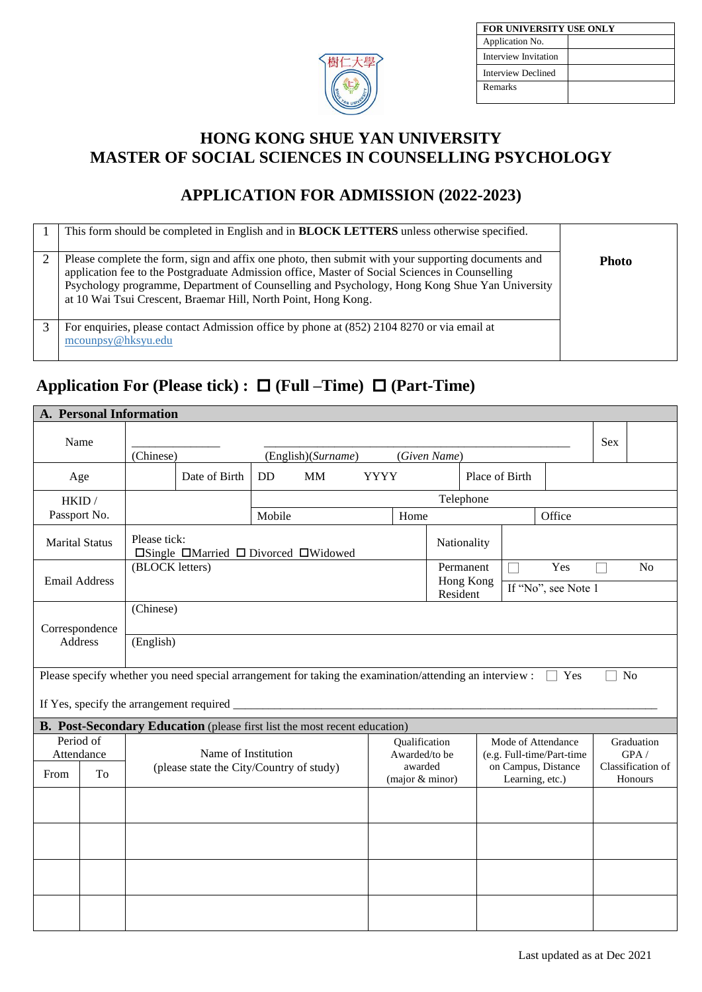

| FOR UNIVERSITY USE ONLY   |  |  |  |  |  |
|---------------------------|--|--|--|--|--|
| Application No.           |  |  |  |  |  |
| Interview Invitation      |  |  |  |  |  |
| <b>Interview Declined</b> |  |  |  |  |  |
| Remarks                   |  |  |  |  |  |

### **HONG KONG SHUE YAN UNIVERSITY MASTER OF SOCIAL SCIENCES IN COUNSELLING PSYCHOLOGY**

## **APPLICATION FOR ADMISSION (2022-2023)**

| This form should be completed in English and in <b>BLOCK LETTERS</b> unless otherwise specified.                                                                                                                                                                                                                                                                        |              |
|-------------------------------------------------------------------------------------------------------------------------------------------------------------------------------------------------------------------------------------------------------------------------------------------------------------------------------------------------------------------------|--------------|
| Please complete the form, sign and affix one photo, then submit with your supporting documents and<br>application fee to the Postgraduate Admission office, Master of Social Sciences in Counselling<br>Psychology programme, Department of Counselling and Psychology, Hong Kong Shue Yan University<br>at 10 Wai Tsui Crescent, Braemar Hill, North Point, Hong Kong. | <b>Photo</b> |
| For enquiries, please contact Admission office by phone at (852) 2104 8270 or via email at<br>mcounpsy@hksyu.edu                                                                                                                                                                                                                                                        |              |

# **Application For (Please tick) : (Full –Time) (Part-Time)**

|                       |    | A. Personal Information |                                                                                                         |           |                    |             |                            |                       |  |                 |                           |            |                              |
|-----------------------|----|-------------------------|---------------------------------------------------------------------------------------------------------|-----------|--------------------|-------------|----------------------------|-----------------------|--|-----------------|---------------------------|------------|------------------------------|
| Name                  |    | (Chinese)               |                                                                                                         |           |                    |             |                            | (Given Name)          |  |                 |                           | <b>Sex</b> |                              |
|                       |    |                         |                                                                                                         |           | (English)(Surname) |             |                            |                       |  |                 |                           |            |                              |
| Age                   |    |                         | Date of Birth                                                                                           | <b>DD</b> | <b>MM</b>          | <b>YYYY</b> |                            |                       |  | Place of Birth  |                           |            |                              |
| HKID /                |    |                         |                                                                                                         |           |                    |             |                            | Telephone             |  |                 |                           |            |                              |
| Passport No.          |    |                         |                                                                                                         | Mobile    |                    |             | Home                       |                       |  |                 | Office                    |            |                              |
| <b>Marital Status</b> |    | Please tick:            | $\square$ Single $\square$ Married $\square$ Divorced $\square$ Widowed                                 |           |                    |             |                            | Nationality           |  |                 |                           |            |                              |
|                       |    | (BLOCK letters)         |                                                                                                         |           |                    |             |                            | Permanent             |  |                 | Yes                       |            | N <sub>o</sub>               |
| <b>Email Address</b>  |    |                         |                                                                                                         |           |                    |             |                            | Hong Kong<br>Resident |  |                 | If "No", see Note 1       |            |                              |
|                       |    | (Chinese)               |                                                                                                         |           |                    |             |                            |                       |  |                 |                           |            |                              |
| Correspondence        |    |                         |                                                                                                         |           |                    |             |                            |                       |  |                 |                           |            |                              |
| <b>Address</b>        |    |                         | (English)                                                                                               |           |                    |             |                            |                       |  |                 |                           |            |                              |
|                       |    |                         |                                                                                                         |           |                    |             |                            |                       |  |                 |                           |            |                              |
|                       |    |                         | Please specify whether you need special arrangement for taking the examination/attending an interview : |           |                    |             |                            |                       |  |                 | Yes                       |            | N <sub>o</sub>               |
|                       |    |                         | If Yes, specify the arrangement required _                                                              |           |                    |             |                            |                       |  |                 |                           |            |                              |
|                       |    |                         | B. Post-Secondary Education (please first list the most recent education)                               |           |                    |             |                            |                       |  |                 |                           |            |                              |
| Period of             |    |                         |                                                                                                         |           |                    |             | Qualification              |                       |  |                 | Mode of Attendance        |            | Graduation                   |
| Attendance            |    |                         | Name of Institution                                                                                     |           |                    |             | Awarded/to be              |                       |  |                 | (e.g. Full-time/Part-time |            | GPA/                         |
| From                  | To |                         | (please state the City/Country of study)                                                                |           |                    |             | awarded<br>(major & minor) |                       |  | Learning, etc.) | on Campus, Distance       |            | Classification of<br>Honours |
|                       |    |                         |                                                                                                         |           |                    |             |                            |                       |  |                 |                           |            |                              |
|                       |    |                         |                                                                                                         |           |                    |             |                            |                       |  |                 |                           |            |                              |
|                       |    |                         |                                                                                                         |           |                    |             |                            |                       |  |                 |                           |            |                              |
|                       |    |                         |                                                                                                         |           |                    |             |                            |                       |  |                 |                           |            |                              |
|                       |    |                         |                                                                                                         |           |                    |             |                            |                       |  |                 |                           |            |                              |
|                       |    |                         |                                                                                                         |           |                    |             |                            |                       |  |                 |                           |            |                              |
|                       |    |                         |                                                                                                         |           |                    |             |                            |                       |  |                 |                           |            |                              |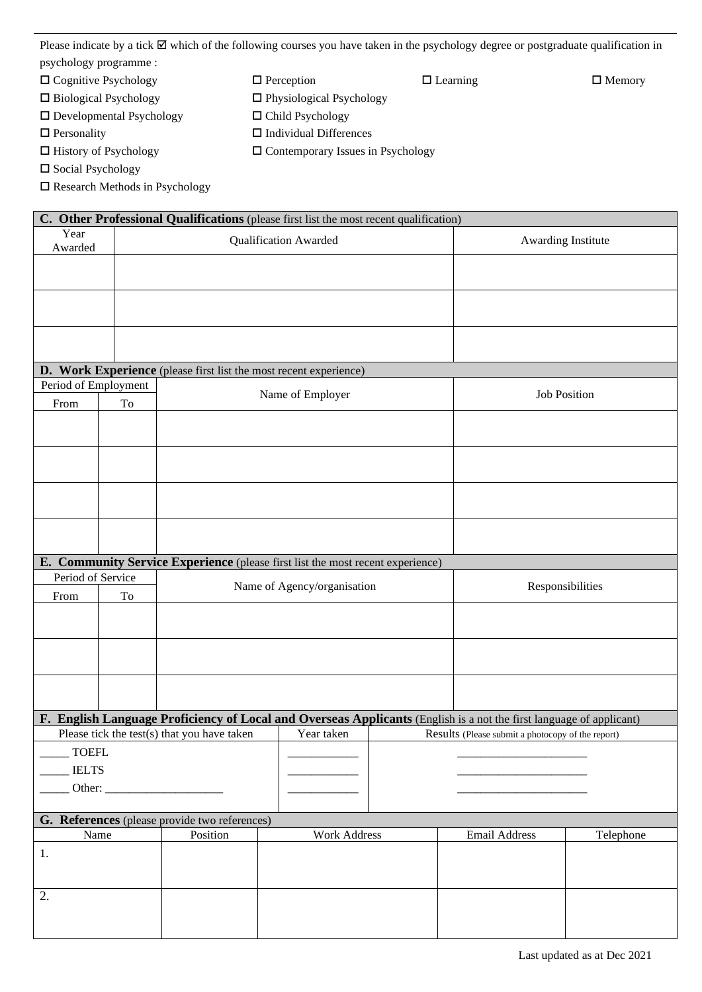Please indicate by a tick  $\boxtimes$  which of the following courses you have taken in the psychology degree or postgraduate qualification in psychology programme :

- $\Box$  Cognitive Psychology  $\Box$  Perception  $\Box$  Learning  $\Box$  Memory
- $\square$  Biological Psychology  $\square$  Physiological Psychology
- $\square$  Developmental Psychology  $\square$  Child Psychology
- $\Box$  Personality  $\Box$  Individual Differences
- $\Box$  History of Psychology  $\Box$  Contemporary Issues in Psychology
- □ Social Psychology
- Research Methods in Psychology

|                              |    |                                                           | C. Other Professional Qualifications (please first list the most recent qualification)                              |                                                   |                     |
|------------------------------|----|-----------------------------------------------------------|---------------------------------------------------------------------------------------------------------------------|---------------------------------------------------|---------------------|
| Year<br>Awarded              |    |                                                           | <b>Qualification Awarded</b>                                                                                        |                                                   | Awarding Institute  |
|                              |    |                                                           |                                                                                                                     |                                                   |                     |
|                              |    |                                                           |                                                                                                                     |                                                   |                     |
|                              |    |                                                           |                                                                                                                     |                                                   |                     |
|                              |    |                                                           | D. Work Experience (please first list the most recent experience)                                                   |                                                   |                     |
| Period of Employment<br>From | To |                                                           | Name of Employer                                                                                                    |                                                   | <b>Job Position</b> |
|                              |    |                                                           |                                                                                                                     |                                                   |                     |
|                              |    |                                                           |                                                                                                                     |                                                   |                     |
|                              |    |                                                           |                                                                                                                     |                                                   |                     |
|                              |    |                                                           |                                                                                                                     |                                                   |                     |
|                              |    |                                                           | E. Community Service Experience (please first list the most recent experience)                                      |                                                   |                     |
| Period of Service            |    |                                                           |                                                                                                                     |                                                   |                     |
| From                         | To |                                                           | Name of Agency/organisation                                                                                         |                                                   | Responsibilities    |
|                              |    |                                                           |                                                                                                                     |                                                   |                     |
|                              |    |                                                           |                                                                                                                     |                                                   |                     |
|                              |    |                                                           |                                                                                                                     |                                                   |                     |
|                              |    |                                                           |                                                                                                                     |                                                   |                     |
|                              |    |                                                           | F. English Language Proficiency of Local and Overseas Applicants (English is a not the first language of applicant) |                                                   |                     |
|                              |    | Please tick the test(s) that you have taken               | Year taken                                                                                                          | Results (Please submit a photocopy of the report) |                     |
| <b>TOEFL</b>                 |    |                                                           |                                                                                                                     |                                                   |                     |
| <b>IELTS</b>                 |    |                                                           |                                                                                                                     |                                                   |                     |
| Other:                       |    |                                                           |                                                                                                                     |                                                   |                     |
|                              |    |                                                           |                                                                                                                     |                                                   |                     |
|                              |    |                                                           |                                                                                                                     |                                                   |                     |
| Name                         |    | G. References (please provide two references)<br>Position | <b>Work Address</b>                                                                                                 | Email Address                                     | Telephone           |
|                              |    |                                                           |                                                                                                                     |                                                   |                     |
| 1.                           |    |                                                           |                                                                                                                     |                                                   |                     |
| 2.                           |    |                                                           |                                                                                                                     |                                                   |                     |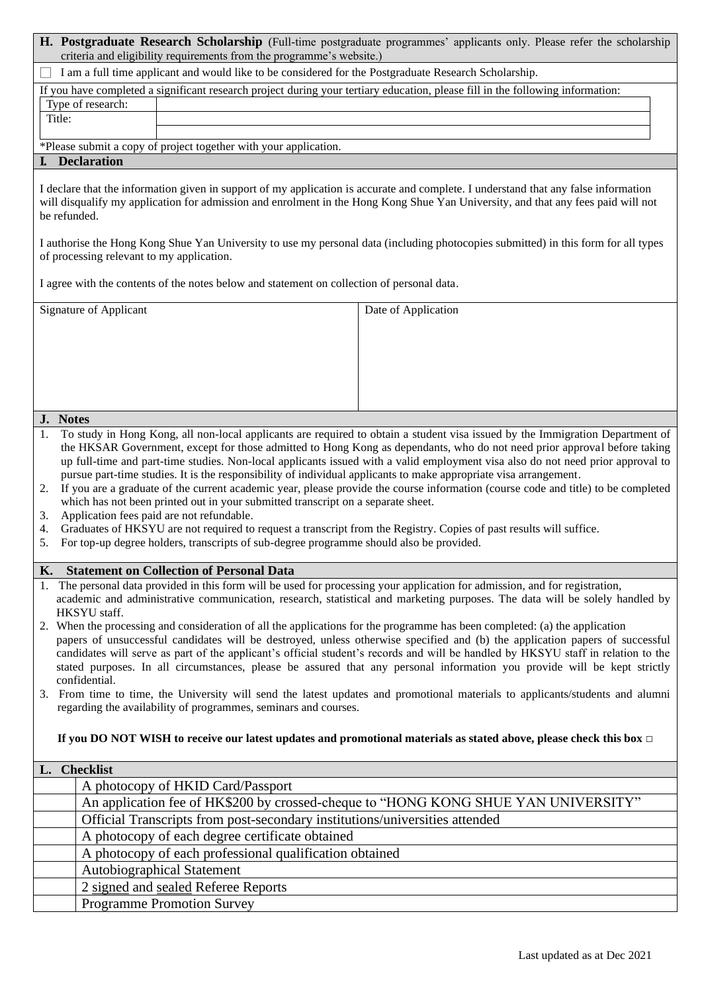| H. Postgraduate Research Scholarship (Full-time postgraduate programmes' applicants only. Please refer the scholarship<br>criteria and eligibility requirements from the programme's website.)                                                                                                                                                                                                                                                                                                     |                                                                                                                                                                                                                                                                                                                                                                                                                                                                                                                                   |
|----------------------------------------------------------------------------------------------------------------------------------------------------------------------------------------------------------------------------------------------------------------------------------------------------------------------------------------------------------------------------------------------------------------------------------------------------------------------------------------------------|-----------------------------------------------------------------------------------------------------------------------------------------------------------------------------------------------------------------------------------------------------------------------------------------------------------------------------------------------------------------------------------------------------------------------------------------------------------------------------------------------------------------------------------|
| I am a full time applicant and would like to be considered for the Postgraduate Research Scholarship.                                                                                                                                                                                                                                                                                                                                                                                              |                                                                                                                                                                                                                                                                                                                                                                                                                                                                                                                                   |
| If you have completed a significant research project during your tertiary education, please fill in the following information:                                                                                                                                                                                                                                                                                                                                                                     |                                                                                                                                                                                                                                                                                                                                                                                                                                                                                                                                   |
| Type of research:<br>Title:                                                                                                                                                                                                                                                                                                                                                                                                                                                                        |                                                                                                                                                                                                                                                                                                                                                                                                                                                                                                                                   |
|                                                                                                                                                                                                                                                                                                                                                                                                                                                                                                    |                                                                                                                                                                                                                                                                                                                                                                                                                                                                                                                                   |
| *Please submit a copy of project together with your application.                                                                                                                                                                                                                                                                                                                                                                                                                                   |                                                                                                                                                                                                                                                                                                                                                                                                                                                                                                                                   |
| <b>I.</b> Declaration                                                                                                                                                                                                                                                                                                                                                                                                                                                                              |                                                                                                                                                                                                                                                                                                                                                                                                                                                                                                                                   |
| I declare that the information given in support of my application is accurate and complete. I understand that any false information<br>will disqualify my application for admission and enrolment in the Hong Kong Shue Yan University, and that any fees paid will not<br>be refunded.                                                                                                                                                                                                            |                                                                                                                                                                                                                                                                                                                                                                                                                                                                                                                                   |
| I authorise the Hong Kong Shue Yan University to use my personal data (including photocopies submitted) in this form for all types<br>of processing relevant to my application.                                                                                                                                                                                                                                                                                                                    |                                                                                                                                                                                                                                                                                                                                                                                                                                                                                                                                   |
| I agree with the contents of the notes below and statement on collection of personal data.                                                                                                                                                                                                                                                                                                                                                                                                         |                                                                                                                                                                                                                                                                                                                                                                                                                                                                                                                                   |
| Signature of Applicant                                                                                                                                                                                                                                                                                                                                                                                                                                                                             | Date of Application                                                                                                                                                                                                                                                                                                                                                                                                                                                                                                               |
|                                                                                                                                                                                                                                                                                                                                                                                                                                                                                                    |                                                                                                                                                                                                                                                                                                                                                                                                                                                                                                                                   |
|                                                                                                                                                                                                                                                                                                                                                                                                                                                                                                    |                                                                                                                                                                                                                                                                                                                                                                                                                                                                                                                                   |
|                                                                                                                                                                                                                                                                                                                                                                                                                                                                                                    |                                                                                                                                                                                                                                                                                                                                                                                                                                                                                                                                   |
|                                                                                                                                                                                                                                                                                                                                                                                                                                                                                                    |                                                                                                                                                                                                                                                                                                                                                                                                                                                                                                                                   |
| J. Notes                                                                                                                                                                                                                                                                                                                                                                                                                                                                                           |                                                                                                                                                                                                                                                                                                                                                                                                                                                                                                                                   |
| 1.<br>pursue part-time studies. It is the responsibility of individual applicants to make appropriate visa arrangement.<br>2.<br>which has not been printed out in your submitted transcript on a separate sheet.<br>Application fees paid are not refundable.<br>3.<br>Graduates of HKSYU are not required to request a transcript from the Registry. Copies of past results will suffice.<br>4.<br>For top-up degree holders, transcripts of sub-degree programme should also be provided.<br>5. | To study in Hong Kong, all non-local applicants are required to obtain a student visa issued by the Immigration Department of<br>the HKSAR Government, except for those admitted to Hong Kong as dependants, who do not need prior approval before taking<br>up full-time and part-time studies. Non-local applicants issued with a valid employment visa also do not need prior approval to<br>If you are a graduate of the current academic year, please provide the course information (course code and title) to be completed |
| <b>Statement on Collection of Personal Data</b><br>К.                                                                                                                                                                                                                                                                                                                                                                                                                                              |                                                                                                                                                                                                                                                                                                                                                                                                                                                                                                                                   |
| 1. The personal data provided in this form will be used for processing your application for admission, and for registration,<br>HKSYU staff.<br>2. When the processing and consideration of all the applications for the programme has been completed: (a) the application<br>confidential.<br>3. From time to time, the University will send the latest updates and promotional materials to applicants/students and alumni<br>regarding the availability of programmes, seminars and courses.    | academic and administrative communication, research, statistical and marketing purposes. The data will be solely handled by<br>papers of unsuccessful candidates will be destroyed, unless otherwise specified and (b) the application papers of successful<br>candidates will serve as part of the applicant's official student's records and will be handled by HKSYU staff in relation to the<br>stated purposes. In all circumstances, please be assured that any personal information you provide will be kept strictly      |
| If you DO NOT WISH to receive our latest updates and promotional materials as stated above, please check this box $\Box$                                                                                                                                                                                                                                                                                                                                                                           |                                                                                                                                                                                                                                                                                                                                                                                                                                                                                                                                   |
| L. Checklist                                                                                                                                                                                                                                                                                                                                                                                                                                                                                       |                                                                                                                                                                                                                                                                                                                                                                                                                                                                                                                                   |
| A photocopy of HKID Card/Passport                                                                                                                                                                                                                                                                                                                                                                                                                                                                  |                                                                                                                                                                                                                                                                                                                                                                                                                                                                                                                                   |
| Official Transcripts from post-secondary institutions/universities attended                                                                                                                                                                                                                                                                                                                                                                                                                        | An application fee of HK\$200 by crossed-cheque to "HONG KONG SHUE YAN UNIVERSITY"                                                                                                                                                                                                                                                                                                                                                                                                                                                |
| A photocopy of each degree certificate obtained                                                                                                                                                                                                                                                                                                                                                                                                                                                    |                                                                                                                                                                                                                                                                                                                                                                                                                                                                                                                                   |
| A photocopy of each professional qualification obtained                                                                                                                                                                                                                                                                                                                                                                                                                                            |                                                                                                                                                                                                                                                                                                                                                                                                                                                                                                                                   |
| <b>Autobiographical Statement</b>                                                                                                                                                                                                                                                                                                                                                                                                                                                                  |                                                                                                                                                                                                                                                                                                                                                                                                                                                                                                                                   |
| 2 signed and sealed Referee Reports                                                                                                                                                                                                                                                                                                                                                                                                                                                                |                                                                                                                                                                                                                                                                                                                                                                                                                                                                                                                                   |
| <b>Programme Promotion Survey</b>                                                                                                                                                                                                                                                                                                                                                                                                                                                                  |                                                                                                                                                                                                                                                                                                                                                                                                                                                                                                                                   |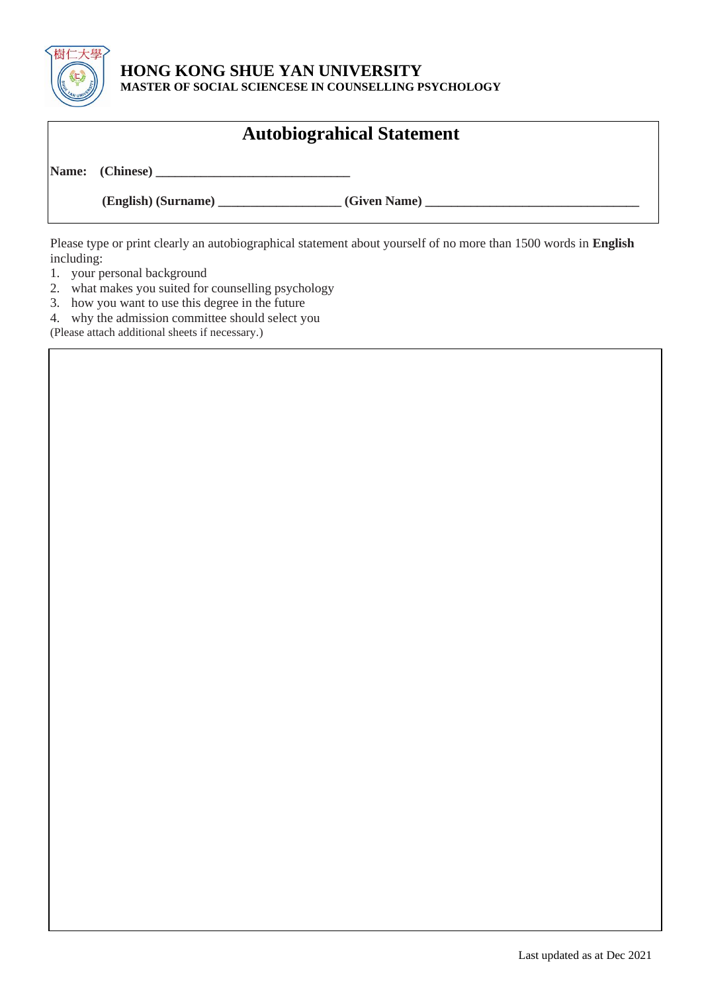

#### **HONG KONG SHUE YAN UNIVERSITY MASTER OF SOCIAL SCIENCESE IN COUNSELLING PSYCHOLOGY**

|  | <b>Autobiograhical Statement</b> |
|--|----------------------------------|
|  |                                  |
|  |                                  |

Please type or print clearly an autobiographical statement about yourself of no more than 1500 words in **English** including:

- 1. your personal background
- 2. what makes you suited for counselling psychology
- 3. how you want to use this degree in the future
- 4. why the admission committee should select you

(Please attach additional sheets if necessary.)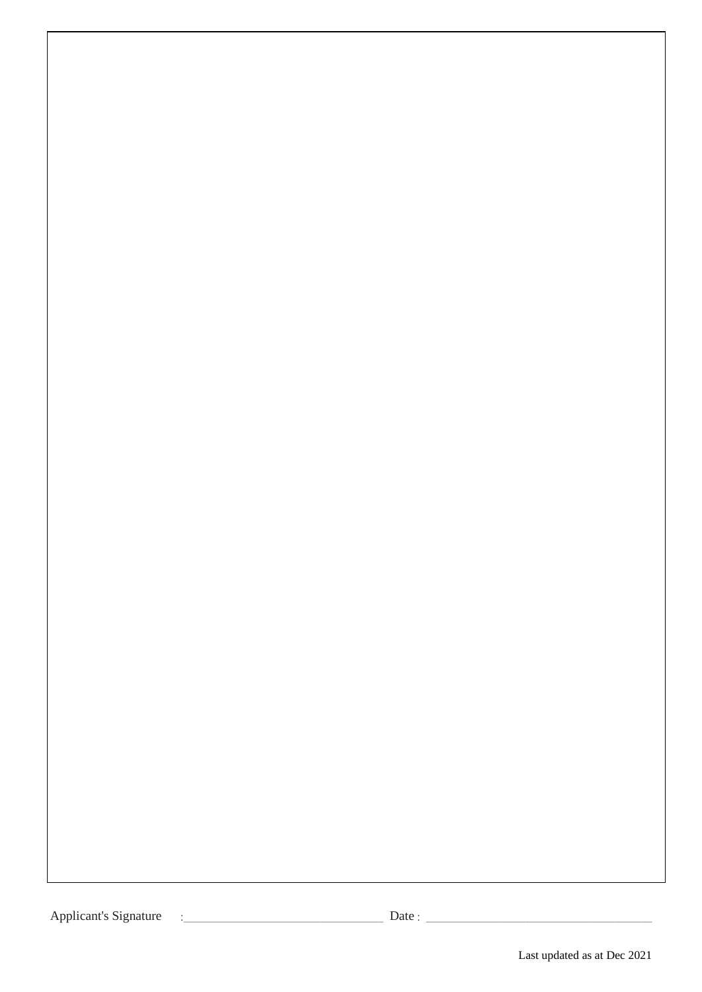Applicant's Signature :\_\_\_\_\_\_\_\_\_\_\_\_\_\_\_\_\_\_\_\_\_\_\_\_\_\_\_\_\_\_\_\_\_\_\_\_\_\_ Date : \_\_\_\_\_\_\_\_\_\_\_\_\_\_\_\_\_\_\_\_\_\_\_\_\_\_\_\_\_\_\_\_\_\_\_\_\_\_\_\_\_\_\_